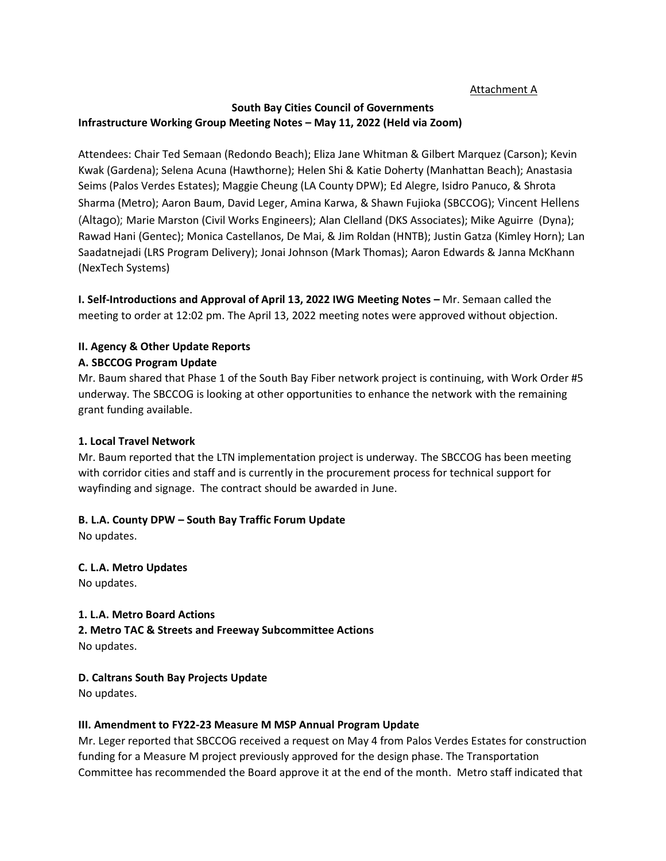#### Attachment A

## **South Bay Cities Council of Governments Infrastructure Working Group Meeting Notes – May 11, 2022 (Held via Zoom)**

Attendees: Chair Ted Semaan (Redondo Beach); Eliza Jane Whitman & Gilbert Marquez (Carson); Kevin Kwak (Gardena); Selena Acuna (Hawthorne); Helen Shi & Katie Doherty (Manhattan Beach); Anastasia Seims (Palos Verdes Estates); Maggie Cheung (LA County DPW); Ed Alegre, Isidro Panuco, & Shrota Sharma (Metro); Aaron Baum, David Leger, Amina Karwa, & Shawn Fujioka (SBCCOG); Vincent Hellens (Altago); Marie Marston (Civil Works Engineers); Alan Clelland (DKS Associates); Mike Aguirre (Dyna); Rawad Hani (Gentec); Monica Castellanos, De Mai, & Jim Roldan (HNTB); Justin Gatza (Kimley Horn); Lan Saadatnejadi (LRS Program Delivery); Jonai Johnson (Mark Thomas); Aaron Edwards & Janna McKhann (NexTech Systems)

**I. Self-Introductions and Approval of April 13, 2022 IWG Meeting Notes - Mr. Semaan called the** meeting to order at 12:02 pm. The April 13, 2022 meeting notes were approved without objection.

# **II. Agency & Other Update Reports**

#### **A. SBCCOG Program Update**

Mr. Baum shared that Phase 1 of the South Bay Fiber network project is continuing, with Work Order #5 underway. The SBCCOG is looking at other opportunities to enhance the network with the remaining grant funding available.

## **1. Local Travel Network**

Mr. Baum reported that the LTN implementation project is underway. The SBCCOG has been meeting with corridor cities and staff and is currently in the procurement process for technical support for wayfinding and signage. The contract should be awarded in June.

## **B. L.A. County DPW – South Bay Traffic Forum Update**

No updates.

## **C. L.A. Metro Updates**

No updates.

## **1. L.A. Metro Board Actions**

**2. Metro TAC & Streets and Freeway Subcommittee Actions**  No updates.

## **D. Caltrans South Bay Projects Update**

No updates.

## **III. Amendment to FY22-23 Measure M MSP Annual Program Update**

Mr. Leger reported that SBCCOG received a request on May 4 from Palos Verdes Estates for construction funding for a Measure M project previously approved for the design phase. The Transportation Committee has recommended the Board approve it at the end of the month. Metro staff indicated that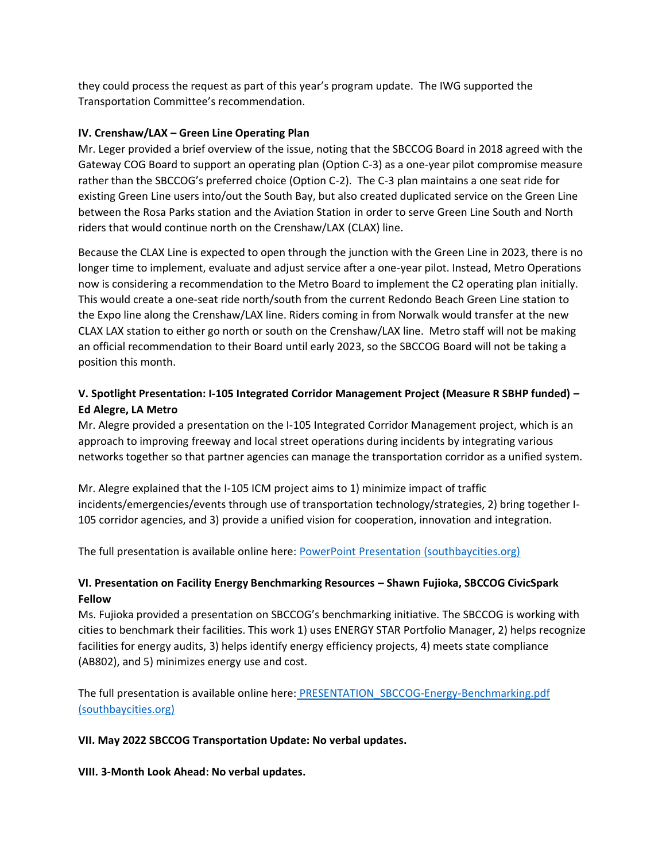they could process the request as part of this year's program update. The IWG supported the Transportation Committee's recommendation.

## **IV. Crenshaw/LAX – Green Line Operating Plan**

Mr. Leger provided a brief overview of the issue, noting that the SBCCOG Board in 2018 agreed with the Gateway COG Board to support an operating plan (Option C-3) as a one-year pilot compromise measure rather than the SBCCOG's preferred choice (Option C-2). The C-3 plan maintains a one seat ride for existing Green Line users into/out the South Bay, but also created duplicated service on the Green Line between the Rosa Parks station and the Aviation Station in order to serve Green Line South and North riders that would continue north on the Crenshaw/LAX (CLAX) line.

Because the CLAX Line is expected to open through the junction with the Green Line in 2023, there is no longer time to implement, evaluate and adjust service after a one-year pilot. Instead, Metro Operations now is considering a recommendation to the Metro Board to implement the C2 operating plan initially. This would create a one-seat ride north/south from the current Redondo Beach Green Line station to the Expo line along the Crenshaw/LAX line. Riders coming in from Norwalk would transfer at the new CLAX LAX station to either go north or south on the Crenshaw/LAX line. Metro staff will not be making an official recommendation to their Board until early 2023, so the SBCCOG Board will not be taking a position this month.

# **V. Spotlight Presentation: I-105 Integrated Corridor Management Project (Measure R SBHP funded) – Ed Alegre, LA Metro**

Mr. Alegre provided a presentation on the I-105 Integrated Corridor Management project, which is an approach to improving freeway and local street operations during incidents by integrating various networks together so that partner agencies can manage the transportation corridor as a unified system.

Mr. Alegre explained that the I-105 ICM project aims to 1) minimize impact of traffic incidents/emergencies/events through use of transportation technology/strategies, 2) bring together I-105 corridor agencies, and 3) provide a unified vision for cooperation, innovation and integration.

The full presentation is available online here: [PowerPoint Presentation \(southbaycities.org\)](https://southbaycities.org/wp-content/uploads/2021/11/PRESENTATION_Metro-105-ICM.pdf)

# **VI. Presentation on Facility Energy Benchmarking Resources – Shawn Fujioka, SBCCOG CivicSpark Fellow**

Ms. Fujioka provided a presentation on SBCCOG's benchmarking initiative. The SBCCOG is working with cities to benchmark their facilities. This work 1) uses ENERGY STAR Portfolio Manager, 2) helps recognize facilities for energy audits, 3) helps identify energy efficiency projects, 4) meets state compliance (AB802), and 5) minimizes energy use and cost.

The full presentation is available online here: [PRESENTATION\\_SBCCOG-Energy-Benchmarking.pdf](https://southbaycities.org/wp-content/uploads/2021/11/PRESENTATION_SBCCOG-Energy-Benchmarking.pdf)  [\(southbaycities.org\)](https://southbaycities.org/wp-content/uploads/2021/11/PRESENTATION_SBCCOG-Energy-Benchmarking.pdf)

#### **VII. May 2022 SBCCOG Transportation Update: No verbal updates.**

**VIII. 3-Month Look Ahead: No verbal updates.**